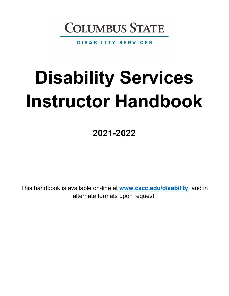

**DISABILITY SERVICES** 

# **Disability Services Instructor Handbook**

**2021-2022** 

This handbook is available on-line at **[www.cscc.edu/disability](http://www.cscc.edu/disability)**, and in alternate formats upon request.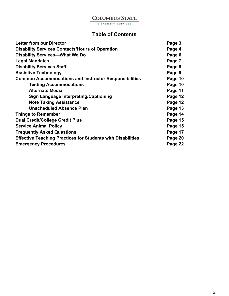# **Table of Contents**

| Page 3  |
|---------|
| Page 4  |
| Page 6  |
| Page 7  |
| Page 8  |
| Page 9  |
| Page 10 |
| Page 10 |
| Page 11 |
| Page 12 |
| Page 12 |
| Page 13 |
| Page 14 |
| Page 15 |
| Page 15 |
| Page 17 |
| Page 20 |
| Page 22 |
|         |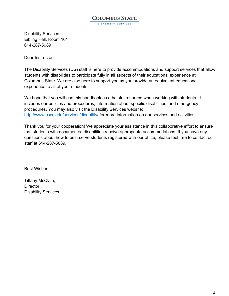#### **COLUMBUS STATE** DISABILITY SERVICES

Disability Services Eibling Hall, Room 101 614-287-5089

Dear Instructor:

The Disability Services (DS) staff is here to provide accommodations and support services that allow students with disabilities to participate fully in all aspects of their educational experience at Columbus State. We are also here to support you as you provide an equivalent educational experience to all of your students.

We hope that you will use this handbook as a helpful resource when working with students. It includes our policies and procedures, information about specific disabilities, and emergency procedures. You may also visit the Disability Services website: <http://www.cscc.edu/services/disability/> for more information on our services and activities.

Thank you for your cooperation! We appreciate your assistance in this collaborative effort to ensure that students with documented disabilities receive appropriate accommodations. If you have any questions about how to best serve students registered with our office, please feel free to contact our staff at 614-287-5089.

Best Wishes,

Tiffany McClain, **Director** Disability Services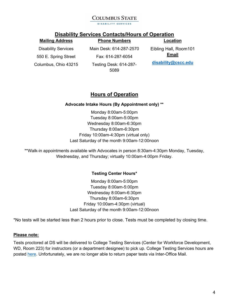DISABILITY SERVICES

#### **Disability Services Contacts/Hours of Operation**

| <b>Mailing Address</b>     | <b>Phone Numbers</b>                  | Location              |
|----------------------------|---------------------------------------|-----------------------|
| <b>Disability Services</b> | Main Desk: 614-287-2570               | Eibling Hall, Room101 |
| 550 E. Spring Street       | Fax: 614-287-6054                     | <b>Email</b>          |
| Columbus, Ohio 43215       | <b>Testing Desk: 614-287-</b><br>5089 | disability@cscc.edu   |

# **Hours of Operation**

#### **Advocate Intake Hours (By Appointment only) \*\***

Monday 8:00am-5:00pm Tuesday 8:00am-5:00pm Wednesday 8:00am-6:30pm Thursday 8:00am-6:30pm Friday 10:00am-4:30pm (virtual only) Last Saturday of the month 9:00am-12:00noon

\*\*Walk-in appointments available with Advocates in person 8:30am-4:30pm Monday, Tuesday, Wednesday, and Thursday; virtually 10:00am-4:00pm Friday.

#### **Testing Center Hours\***

Monday 8:00am-5:00pm Tuesday 8:00am-5:00pm Wednesday 8:00am-6:30pm Thursday 8:00am-6:30pm Friday 10:00am-4:30pm (virtual) Last Saturday of the month 9:00am-12:00noon

\*No tests will be started less than 2 hours prior to close. Tests must be completed by closing time.

#### **Please note:**

Tests proctored at DS will be delivered to College Testing Services (Center for Workforce Development, WD, Room 223) for instructors (or a department designee) to pick up. College Testing Services hours are posted [here.](https://www.cscc.edu/services/testingcenter/academic-testing/academic-hours-location.shtml) Unfortunately, we are no longer able to return paper tests via Inter-Office Mail.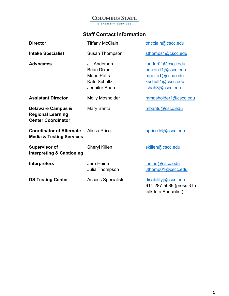# **Staff Contact Information**

| <b>Director</b>                                                                       | <b>Tiffany McClain</b>                                                                                   | tmcclain@cscc.edu                                                                                  |
|---------------------------------------------------------------------------------------|----------------------------------------------------------------------------------------------------------|----------------------------------------------------------------------------------------------------|
| <b>Intake Specialist</b>                                                              | Susan Thompson                                                                                           | sthomps1@cscc.edu                                                                                  |
| <b>Advocates</b>                                                                      | <b>Jill Anderson</b><br><b>Brian Dixon</b><br><b>Marie Potts</b><br><b>Kate Schultz</b><br>Jennifer Shah | jander01@cscc.edu<br>bdixon11@cscc.edu<br>mpotts1@cscc.edu<br>kschult1@cscc.edu<br>jshah3@cscc.edu |
| <b>Assistant Director</b>                                                             | <b>Molly Mosholder</b>                                                                                   | mmosholder1@cscc.edu                                                                               |
| <b>Delaware Campus &amp;</b><br><b>Regional Learning</b><br><b>Center Coordinator</b> | Mary Bantu                                                                                               | mbantu@cscc.edu                                                                                    |
| <b>Coordinator of Alternate</b><br><b>Media &amp; Testing Services</b>                | Alissa Price                                                                                             | aprice16@cscc.edu                                                                                  |
| <b>Supervisor of</b><br><b>Interpreting &amp; Captioning</b>                          | <b>Sheryl Killen</b>                                                                                     | skillen@cscc.edu                                                                                   |
| <b>Interpreters</b>                                                                   | Jerri Heine<br>Julia Thompson                                                                            | jheine@cscc.edu<br>Jthomp01@cscc.edu                                                               |
| <b>DS Testing Center</b>                                                              | <b>Access Specialists</b>                                                                                | disability@cscc.edu<br>614-287-5089 (press 3 to<br>talk to a Specialist)                           |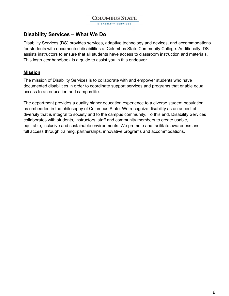## **Disability Services – What We Do**

Disability Services (DS) provides services, adaptive technology and devices, and accommodations for students with documented disabilities at Columbus State Community College. Additionally, DS assists instructors to ensure that all students have access to classroom instruction and materials. This instructor handbook is a guide to assist you in this endeavor.

#### **Mission**

The mission of Disability Services is to collaborate with and empower students who have documented disabilities in order to coordinate support services and programs that enable equal access to an education and campus life.

The department provides a quality higher education experience to a diverse student population as embedded in the philosophy of Columbus State. We recognize disability as an aspect of diversity that is integral to society and to the campus community. To this end, Disability Services collaborates with students, instructors, staff and community members to create usable, equitable, inclusive and sustainable environments. We promote and facilitate awareness and full access through training, partnerships, innovative programs and accommodations.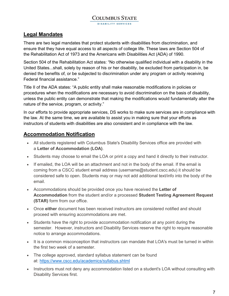**DISABILITY SERVICES** 

# **Legal Mandates**

There are two legal mandates that protect students with disabilities from discrimination, and ensure that they have equal access to all aspects of college life. These laws are Section 504 of the Rehabilitation Act of 1973 and the Americans with Disabilities Act (ADA) of 1990.

Section 504 of the Rehabilitation Act states: "No otherwise qualified individual with a disability in the United States...shall, solely by reason of his or her disability, be excluded from participation in, be denied the benefits of, or be subjected to discrimination under any program or activity receiving Federal financial assistance."

Title II of the ADA states: "A public entity shall make reasonable modifications in policies or procedures when the modifications are necessary to avoid discrimination on the basis of disability, unless the public entity can demonstrate that making the modifications would fundamentally alter the nature of the service, program, or activity."

In our efforts to provide appropriate services, DS works to make sure services are in compliance with the law. At the same time, we are available to assist you in making sure that your efforts as instructors of students with disabilities are also consistent and in compliance with the law.

# **Accommodation Notification**

- All students registered with Columbus State's Disability Services office are provided with a **Letter of Accommodation (LOA)**.
- Students may choose to email the LOA or print a copy and hand it directly to their instructor.
- If emailed, the LOA will be an attachment and not in the body of the email. If the email is coming from a CSCC student email address (username@student.cscc.edu) it should be considered safe to open. Students may or may not add additional text/info into the body of the email.
- Accommodations should be provided once you have received the **Letter of Accommodation** from the student and/or a processed **Student Testing Agreement Request (STAR)** form from our office.
- Once **either** document has been received instructors are considered notified and should proceed with ensuring accommodations are met.
- Students have the right to provide accommodation notification at any point during the semester. However, instructors and Disability Services reserve the right to require reasonable notice to arrange accommodations.
- It is a common misconception that instructors can mandate that LOA's must be turned in within the first two week of a semester.
- The college approved, standard syllabus statement can be found at: <https://www.cscc.edu/academics/syllabus.shtml>
- Instructors must not deny any accommodation listed on a student's LOA without consulting with Disability Services first.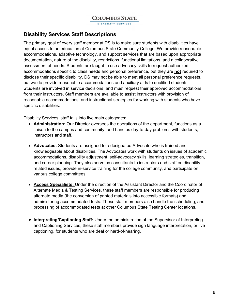#### **Disability Services Staff Descriptions**

The primary goal of every staff member at DS is to make sure students with disabilities have equal access to an education at Columbus State Community College. We provide reasonable accommodations, adaptive technology, and support services that are based upon appropriate documentation, nature of the disability, restrictions, functional limitations, and a collaborative assessment of needs. Students are taught to use advocacy skills to request authorized accommodations specific to class needs and personal preference, but they are **not** required to disclose their specific disability. DS may not be able to meet all personal preference requests, but we do provide reasonable accommodations and auxiliary aids to qualified students. Students are involved in service decisions, and must request their approved accommodations from their instructors. Staff members are available to assist instructors with provision of reasonable accommodations, and instructional strategies for working with students who have specific disabilities.

Disability Services' staff falls into five main categories:

- **Administration:** Our Director oversees the operations of the department, functions as a liaison to the campus and community, and handles day-to-day problems with students, instructors and staff.
- **Advocates:** Students are assigned to a designated Advocate who is trained and knowledgeable about disabilities. The Advocates work with students on issues of academic accommodations, disability adjustment, self-advocacy skills, learning strategies, transition, and career planning. They also serve as consultants to instructors and staff on disabilityrelated issues, provide in-service training for the college community, and participate on various college committees.
- **Access Specialists:** Under the direction of the Assistant Director and the Coordinator of Alternate Media & Testing Services, these staff members are responsible for producing alternate media (the conversion of printed materials into accessible formats) and administering accommodated tests. These staff members also handle the scheduling, and processing of accommodated tests at other Columbus State Testing Center locations.
- **Interpreting/Captioning Staff:** Under the administration of the Supervisor of Interpreting and Captioning Services, these staff members provide sign language interpretation, or live captioning, for students who are deaf or hard-of-hearing.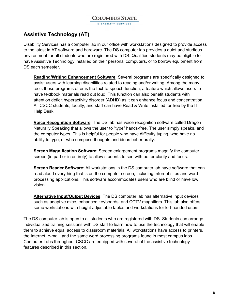**DISABILITY SERVICES** 

# **Assistive Technology (AT)**

Disability Services has a computer lab in our office with workstations designed to provide access to the latest in AT software and hardware. The DS computer lab provides a quiet and studious environment for all students who are registered with DS. Qualified students may be eligible to have Assistive Technology installed on their personal computers, or to borrow equipment from DS each semester.

**Reading/Writing Enhancement Software**: Several programs are specifically designed to assist users with learning disabilities related to reading and/or writing. Among the many tools these programs offer is the text-to-speech function, a feature which allows users to have textbook materials read out loud. This function can also benefit students with attention deficit hyperactivity disorder (ADHD) as it can enhance focus and concentration. All CSCC students, faculty, and staff can have Read & Write installed for free by the IT Help Desk.

**Voice Recognition Software**: The DS lab has voice recognition software called Dragon Naturally Speaking that allows the user to "type" hands-free. The user simply speaks, and the computer types. This is helpful for people who have difficulty typing, who have no ability to type, or who compose thoughts and ideas better orally.

**Screen Magnification Software**: Screen enlargement programs magnify the computer screen (in part or in entirety) to allow students to see with better clarity and focus.

**Screen Reader Software**: All workstations in the DS computer lab have software that can read aloud everything that is on the computer screen, including Internet sites and word processing applications. This software accommodates users who are blind or have low vision.

**Alternative Input/Output Devices**: The DS computer lab has alternative input devices such as adaptive mice, enhanced keyboards, and CCTV magnifiers. This lab also offers some workstations with height adjustable tables and workstations for left-handed users.

The DS computer lab is open to all students who are registered with DS. Students can arrange individualized training sessions with DS staff to learn how to use the technology that will enable them to achieve equal access to classroom materials. All workstations have access to printers, the Internet, e-mail, and the same word processing programs found in most campus labs. Computer Labs throughout CSCC are equipped with several of the assistive technology features described in this section.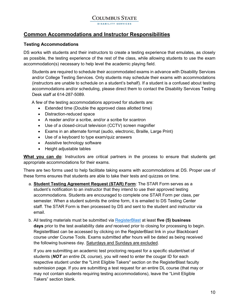# **Common Accommodations and Instructor Responsibilities**

#### **Testing Accommodations**

DS works with students and their instructors to create a testing experience that emulates, as closely as possible, the testing experience of the rest of the class, while allowing students to use the exam accommodation(s) necessary to help level the academic playing field.

Students are required to schedule their accommodated exams in advance with Disability Services and/or College Testing Services. Only students may schedule their exams with accommodations (instructors are unable to schedule on a student's behalf). If a student is a confused about testing accommodations and/or scheduling, please direct them to contact the Disability Services Testing Desk staff at 614-287-5089.

A few of the testing accommodations approved for students are:

- Extended time (Double the approved class allotted time)
- Distraction-reduced space
- A reader and/or a scribe, and/or a scribe for scantron
- Use of a closed-circuit television (CCTV) screen magnifier
- Exams in an alternate format (audio, electronic, Braille, Large Print)
- Use of a keyboard to type exam/quiz answers
- Assistive technology software
- Height adjustable tables

**What you can do**: Instructors are critical partners in the process to ensure that students get appropriate accommodations for their exams.

There are two forms used to help facilitate taking exams with accommodations at DS. Proper use of these forms ensures that students are able to take their tests and quizzes on time.

- a. **Student Testing Agreement Request (STAR) Form**: The STAR Form serves as a student's notification to an instructor that they intend to use their approved testing accommodations. Students are encouraged to complete one STAR Form per class, per semester. When a student submits the online form, it is emailed to DS Testing Center staff. The STAR Form is then processed by DS and sent to the student and instructor via email.
- b. All testing materials must be submitted via [RegisterBlast](https://www.cscc.edu/employee/faculty/student-support/pdf/FacultyTraining_ExamSubmission%208.26.21%20Revised.pdf) at least **five (5) business days** prior to the test availability date *and* received prior to closing for processing to begin. RegisterBlast can be accessed by clicking on the RegisterBlast link in your Blackboard course under Course Tools. Exams submitted after hours will be dated as being received the following business day. Saturdays and Sundays are excluded.

If you are submitting an academic test proctoring request for a specific student/set of students (*NOT an entire DL course*), you will need to enter the cougar ID for each respective student under the "Limit Eligible Takers" section on the RegisterBlast faculty submission page. If you are submitting a test request for an entire DL course (that may or may not contain students requiring testing accommodations), leave the "Limit Eligible Takers" section blank.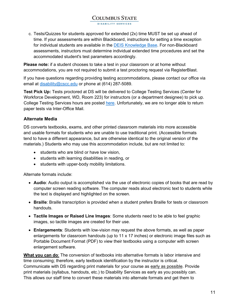DISABILITY SERVICES

c. Tests/Quizzes for students approved for extended (2x) time MUST be set up ahead of time. If your assessments are within Blackboard, instructions for setting a time exception for individual students are available in the [DEIS Knowledge Base.](https://help.cscc.edu/category/208-tests) For non-Blackboard assessments, instructors must determine individual extended time procedures and set the accommodated student's test parameters accordingly.

**Please note:** if a student chooses to take a test in your classroom or at home without accommodations, you are not required to submit a test proctoring request via RegisterBlast.

If you have questions regarding providing testing accommodations, please contact our office via email at [disability@cscc.edu](mailto:disability@cscc.edu) or phone at (614) 287-5089.

**Test Pick Up:** Tests proctored at DS will be delivered to College Testing Services (Center for Workforce Development, WD, Room 223) for instructors (or a department designee) to pick up. College Testing Services hours are posted [here.](https://www.cscc.edu/services/testingcenter/academic-testing/academic-hours-location.shtml) Unfortunately, we are no longer able to return paper tests via Inter-Office Mail.

#### **Alternate Media**

DS converts textbooks, exams, and other printed classroom materials into more accessible and usable formats for students who are unable to use traditional print. (Accessible formats tend to have a different appearance, but are otherwise identical to the original version of the materials.) Students who may use this accommodation include, but are not limited to:

- students who are blind or have low vision,
- students with learning disabilities in reading, or
- students with upper-body mobility limitations.

Alternate formats include:

- **Audio**: Audio output is accomplished via the use of electronic copies of books that are read by computer screen reading software. The computer reads aloud electronic text to students while the text is displayed and highlighted on the screen.
- **Braille**: Braille transcription is provided when a student prefers Braille for tests or classroom handouts.
- **Tactile Images or Raised Line Images**: Some students need to be able to feel graphic images, so tactile images are created for their use.
- **Enlargements**: Students with low-vision may request the above formats, as well as paper enlargements for classroom handouts (up to 11 x 17 inches) or electronic image files such as Portable Document Format (PDF) to view their textbooks using a computer with screen enlargement software.

**What you can do**: The conversion of textbooks into alternative formats is labor intensive and time consuming; therefore, early textbook identification by the instructor is critical. Communicate with DS regarding print materials for your course as early as possible. Provide print materials (syllabus, handouts, etc.) to Disability Services as early as you possibly can. This allows our staff time to convert these materials into alternate formats and get them to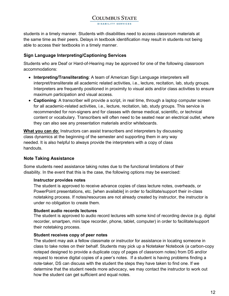.<br>DISABILITY SERVICE

students in a timely manner. Students with disabilities need to access classroom materials at the same time as their peers. Delays in textbook identification may result in students not being able to access their textbooks in a timely manner.

#### **Sign Language Interpreting/Captioning Services**

Students who are Deaf or Hard-of-Hearing may be approved for one of the following classroom accommodations:

- **Interpreting/Transliterating**: A team of American Sign Language interpreters will interpret/transliterate all academic related activities, i.e., lecture, recitation, lab, study groups. Interpreters are frequently positioned in proximity to visual aids and/or class activities to ensure maximum participation and visual access.
- **Captioning**: A transcriber will provide a script, in real time, through a laptop computer screen for all academic-related activities, i.e., lecture, recitation, lab, study groups. This service is recommended for non-signers and for classes with dense medical, scientific, or technical content or vocabulary. Transcribers will often need to be seated near an electrical outlet, where they can also see any presentation materials and/or whiteboards.

**What you can do**: Instructors can assist transcribers and interpreters by discussing class dynamics at the beginning of the semester and supporting them in any way needed. It is also helpful to always provide the interpreters with a copy of class handouts.

#### **Note Taking Assistance**

Some students need assistance taking notes due to the functional limitations of their disability. In the event that this is the case, the following options may be exercised:

#### **Instructor provides notes**

The student is approved to receive advance copies of class lecture notes, overheads, or PowerPoint presentations, etc. [when available] in order to facilitate/support their in-class notetaking process. If notes/resources are not already created by instructor, the instructor is under no obligation to create them.

#### **Student audio records lectures**

The student is approved to audio record lectures with some kind of recording device (e.g. digital recorder, smartpen, mini tape recorder, phone, tablet, computer) in order to facilitate/support their notetaking process.

#### **Student receives copy of peer notes**

The student may ask a fellow classmate or instructor for assistance in locating someone in class to take notes on their behalf. Students may pick up a Notetaker Notebook (a carbon-copy notepad designed to provide a duplicate copy of pages of classroom notes) from DS and/or request to receive digital copies of a peer's notes. If a student is having problems finding a note-taker, DS can discuss with the student the steps they have taken to find one. If we determine that the student needs more advocacy, we may contact the instructor to work out how the student can get sufficient and equal notes.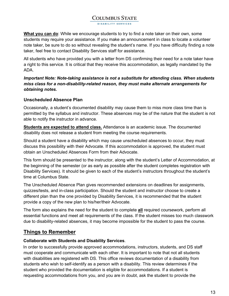.<br>DISABILITY SERVICES

**What you can do**: While we encourage students to try to find a note taker on their own, some students may require your assistance. If you make an announcement in class to locate a volunteer note taker, be sure to do so without revealing the student's name. If you have difficulty finding a note taker, feel free to contact Disability Services staff for assistance.

All students who have provided you with a letter from DS confirming their need for a note taker have a right to this service. It is critical that they receive this accommodation, as legally mandated by the ADA.

#### *Important Note: Note-taking assistance is not a substitute for attending class. When students miss class for a non-disability-related reason, they must make alternate arrangements for obtaining notes.*

#### **Unscheduled Absence Plan**

Occasionally, a student's documented disability may cause them to miss more class time than is permitted by the syllabus and instructor. These absences may be of the nature that the student is not able to notify the instructor in advance.

**Students are expected to attend class.** Attendance is an academic issue. The documented disability does not release a student from meeting the course requirements.

Should a student have a disability which may cause unscheduled absences to occur, they must discuss this possibility with their Advocate. If this accommodation is approved, the student must obtain an Unscheduled Absences Form from their Advocate.

This form should be presented to the instructor, along with the student's Letter of Accommodation, at the beginning of the semester (or as early as possible after the student completes registration with Disability Services). It should be given to each of the student's instructors throughout the student's time at Columbus State.

The Unscheduled Absence Plan gives recommended extensions on deadlines for assignments, quizzes/tests, and in-class participation. Should the student and instructor choose to create a different plan than the one provided by Disability Services, it is recommended that the student provide a copy of the new plan to his/her/their Advocate.

The form also explains the need for the student to complete **all** required coursework, perform all essential functions and meet all requirements of the class. If the student misses too much classwork due to disability-related absences, it may become impossible for the student to pass the course.

# **Things to Remember**

#### **Collaborate with Students and Disability Services**.

In order to successfully provide approved accommodations, instructors, students, and DS staff must cooperate and communicate with each other. It is important to note that not all students with disabilities are registered with DS. This office reviews documentation of a disability from students who wish to self-identify as a person with a disability. This review determines if the student who provided the documentation is eligible for accommodations. If a student is requesting accommodations from you, and you are in doubt, ask the student to provide the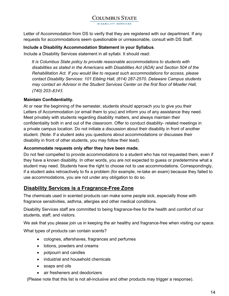Letter of Accommodation from DS to verify that they are registered with our department. If any requests for accommodations seem questionable or unreasonable, consult with DS Staff.

#### **Include a Disability Accommodation Statement in your Syllabus**.

Include a Disability Services statement in all syllabi. It should read:

*It is Columbus State policy to provide reasonable accommodations to students with disabilities as stated in the Americans with Disabilities Act (ADA) and Section 504 of the Rehabilitation Act. If you would like to request such accommodations for access, please contact Disability Services: 101 Eibling Hall, (614) 287-2570. Delaware Campus students may contact an Advisor in the Student Services Center on the first floor of Moeller Hall, (740) 203-*8345*.* 

#### **Maintain Confidentiality.**

At or near the beginning of the semester, students should approach you to give you their Letters of Accommodation (or email them to you) and inform you of any assistance they need. Meet privately with students regarding disability matters, and always maintain their confidentiality both in and out of the classroom. Offer to conduct disability- related meetings in a private campus location. Do not initiate a discussion about their disability in front of another student. (Note: If a student asks you questions about accommodations or discusses their disability in front of other students, you may follow their lead).

#### **Accommodate requests only after they have been made.**

Do not feel compelled to provide accommodations to a student who has not requested them, even if they have a known disability. In other words, you are not expected to guess or predetermine what a student may need. Students have the right to choose not to use accommodations. Correspondingly, if a student asks retroactively to fix a problem (for example, re-take an exam) because they failed to use accommodations, you are not under any obligation to do so.

#### **Disability Services is a Fragrance-Free Zone**

The chemicals used in scented products can make some people sick, especially those with fragrance sensitivities, asthma, allergies and other medical conditions.

Disability Services staff are committed to being fragrance-free for the health and comfort of our students, staff, and visitors.

We ask that you please join us in keeping the air healthy and fragrance-free when visiting our space.

What types of products can contain scents?

- colognes, aftershaves, fragrances and perfumes
- lotions, powders and creams
- potpourri and candles
- industrial and household chemicals
- soaps and oils
- air fresheners and deodorizers

(Please note that this list is not all-inclusive and other products may trigger a response).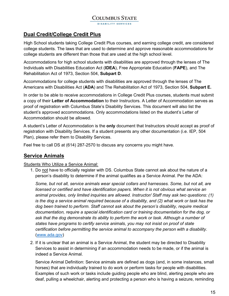DISABILITY SERVICES

# **Dual Credit/College Credit Plus**

High School students taking College Credit Plus courses, and earning college credit, are considered college students. The laws that are used to determine and approve reasonable accommodations for college students are different than those that are used at the high school level.

Accommodations for high school students with disabilities are approved through the lenses of The Individuals with Disabilities Education Act (**IDEA**), Free Appropriate Education (**FAPE**), and The Rehabilitation Act of 1973, Section 504, **Subpart D**.

Accommodations for college students with disabilities are approved through the lenses of The Americans with Disabilities Act (**ADA**) and The Rehabilitation Act of 1973, Section 504, **Subpart E.**

In order to be able to receive accommodations in College Credit Plus courses, students must submit a copy of their **Letter of Accommodation** to their Instructors. A Letter of Accommodation serves as proof of registration with Columbus State's Disability Services. This document will also list the student's approved accommodations. Only accommodations listed on the student's Letter of Accommodation should be allowed.

A student's Letter of Accommodation is the **only** document that Instructors should accept as proof of registration with Disability Services. If a student presents any other documentation (i.e. IEP, 504 Plan), please refer them to Disability Services.

Feel free to call DS at (614) 287-2570 to discuss any concerns you might have.

# **Service Animals**

#### Students Who Utilize a Service Animal:

1. Do not have to officially register with DS. Columbus State cannot ask about the nature of a person's disability to determine if the animal qualifies as a Service Animal. Per the ADA:

*Some, but not all, service animals wear special collars and harnesses. Some, but not all, are licensed or certified and have identification papers. When it is not obvious what service an animal provides, only limited inquiries are allowed. Instructor/ Staff may ask two questions: (1) is the dog a service animal required because of a disability, and (2) what work or task has the dog been trained to perform. Staff cannot ask about the person's disability, require medical documentation, require a special identification card or training documentation for the dog, or ask that the dog demonstrate its ability to perform the work or task. Although a number of states have programs to certify service animals, you may not insist on proof of state certification before permitting the service animal to accompany the person with a disability*. [\(www.ada.gov\)](http://www.ada.gov/)

2. If it is unclear that an animal is a Service Animal, the student may be directed to Disability Services to assist in determining if an accommodation needs to be made, or if the animal is indeed a Service Animal.

Service Animal Definition: Service animals are defined as dogs (and, in some instances, small horses) that are individually trained to do work or perform tasks for people with disabilities. Examples of such work or tasks include guiding people who are blind, alerting people who are deaf, pulling a wheelchair, alerting and protecting a person who is having a seizure, reminding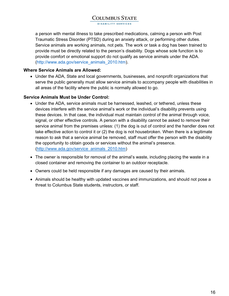DISABILITY SERVICES

a person with mental illness to take prescribed medications, calming a person with Post Traumatic Stress Disorder (PTSD) during an anxiety attack, or performing other duties. Service animals are working animals, not pets. The work or task a dog has been trained to provide must be directly related to the person's disability. Dogs whose sole function is to provide comfort or emotional support do not qualify as service animals under the ADA. [\(http://www.ada.gov/service\\_animals\\_2010.htm\)](http://www.ada.gov/service_animals_2010.htm).

#### **Where Service Animals are Allowed:**

• Under the ADA, State and local governments, businesses, and nonprofit organizations that serve the public generally must allow service animals to accompany people with disabilities in all areas of the facility where the public is normally allowed to go.

#### **Service Animals Must be Under Control:**

- Under the ADA, service animals must be harnessed, leashed, or tethered, unless these devices interfere with the service animal's work or the individual's disability prevents using these devices. In that case, the individual must maintain control of the animal through voice, signal, or other effective controls. A person with a disability cannot be asked to remove their service animal from the premises unless: (1) the dog is out of control and the handler does not take effective action to control it or (2) the dog is not housebroken. When there is a legitimate reason to ask that a service animal be removed, staff must offer the person with the disability the opportunity to obtain goods or services without the animal's presence. [\(http://www.ada.gov/service\\_animals\\_2010.htm\)](http://www.ada.gov/service_animals_2010.htm)
- The owner is responsible for removal of the animal's waste, including placing the waste in a closed container and removing the container to an outdoor receptacle.
- Owners could be held responsible if any damages are caused by their animals.
- Animals should be healthy with updated vaccines and immunizations, and should not pose a threat to Columbus State students, instructors, or staff.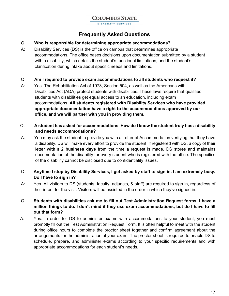**DISABILITY SERVICES** 

# **Frequently Asked Questions**

#### Q: **Who is responsible for determining appropriate accommodations?**

- A: Disability Services (DS) is the office on campus that determines appropriate accommodations. The office bases decisions upon documentation submitted by a student with a disability, which details the student's functional limitations, and the student's clarification during intake about specific needs and limitations.
- Q: **Am I required to provide exam accommodations to all students who request it?**
- A: Yes. The Rehabilitation Act of 1973, Section 504, as well as the Americans with Disabilities Act (ADA) protect students with disabilities. These laws require that qualified students with disabilities get equal access to an education, including exam accommodations. **All students registered with Disability Services who have provided appropriate documentation have a right to the accommodations approved by our office, and we will partner with you in providing them.**

#### Q: **A student has asked for accommodations. How do I know the student truly has a disability and needs accommodations?**

- A: You may ask the student to provide you with a Letter of Accommodation verifying that they have a disability. DS will make every effort to provide the student, if registered with DS, a copy of their letter **within 2 business days** from the time a request is made. DS stores and maintains documentation of the disability for every student who is registered with the office. The specifics of the disability cannot be disclosed due to confidentiality issues.
- Q: **Anytime I stop by Disability Services, I get asked by staff to sign in. I am extremely busy. Do I have to sign in?**
- A: Yes. All visitors to DS (students, faculty, adjuncts, & staff) are required to sign in, regardless of their intent for the visit. Visitors will be assisted in the order in which they've signed in.
- Q: **Students with disabilities ask me to fill out Test Administration Request forms. I have a million things to do. I don't mind if they use exam accommodations, but do I have to fill out that form?**
- A: Yes. In order for DS to administer exams with accommodations to your student, you must promptly fill out the Test Administration Request Form. It is often helpful to meet with the student during office hours to complete the proctor sheet together and confirm agreement about the arrangements for the administration of your exam. The proctor sheet is required to enable DS to schedule, prepare, and administer exams according to your specific requirements and with appropriate accommodations for each student's needs.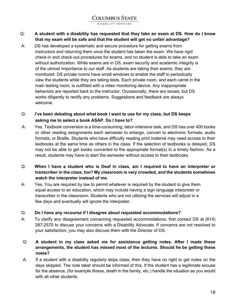#### Q: **A student with a disability has requested that they take an exam at DS. How do I know that my exam will be safe and that the student will get no unfair advantage?**

- A: DS has developed a systematic and secure procedure for getting exams from instructors and returning them once the student has taken the exam. We have rigid check-in and check-out procedures for exams, and no student is able to take an exam without authorization. While exams are in DS, exam security and academic integrity is of the utmost importance to our staff. As students are taking their exams, they are monitored. DS private rooms have small windows to enable the staff to periodically view the students while they are taking tests. Each private room, and each carrel in the main testing room, is outfitted with a video monitoring device. Any inappropriate behaviors are reported back to the instructor. Occasionally, there are issues, but DS works diligently to rectify any problems. Suggestions and feedback are always welcome.
- Q: **I've been debating about what book I want to use for my class, but DS keeps asking me to select a book ASAP. Do I have to?**
- A: Yes. Textbook conversion is a time-consuming, labor-intensive task, and DS has over 400 books or other reading assignments each semester to enlarge, convert to electronic formats, audio formats, or Braille. Students who have difficulty reading print material may need access to their textbooks at the same time as others in the class. If the selection of textbooks is delayed, DS may not be able to get books converted to the appropriate format(s) in a timely fashion. As a result, students may have to start the semester without access to their textbooks.
- Q: **When I have a student who is Deaf in class, am I required to have an interpreter or transcriber in the class, too? My classroom is very crowded, and the students sometimes watch the interpreter instead of me.**
- A: Yes. You are required by law to permit whatever is required by the student to give them equal access to an education, which may include having a sign language interpreter or transcriber in the classroom. Students who are not utilizing the services will adjust in a few days and eventually will ignore the interpreter.
- Q: **Do I have any recourse if I disagree about requested accommodations?**
- A: To clarify any disagreement concerning requested accommodations, first contact DS at (614) 287-2570 to discuss your concerns with a Disability Advocate. If concerns are not resolved to your satisfaction, you may also discuss them with the Director of DS.
- Q: **A student in my class asked me for assistance getting notes. After I made these arrangements, the student has missed most of the lectures. Should he be getting these notes?**
- A: If a student with a disability regularly skips class, then they have no right to get notes on the days skipped. The note taker should be informed of this. If the student has a legitimate excuse for the absence, (for example illness, death in the family, etc.) handle the situation as you would with all other students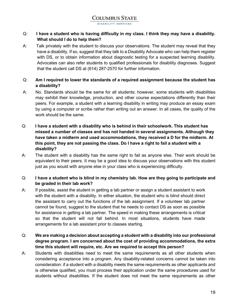#### Q: **I have a student who is having difficulty in my class. I think they may have a disability. What should I do to help them?**

A: Talk privately with the student to discuss your observations. The student may reveal that they have a disability. If so, suggest that they talk to a Disability Advocate who can help them register with DS, or to obtain information about diagnostic testing for a suspected learning disability. Advocates can also refer students to qualified professionals for disability diagnoses. Suggest that the student call DS at (614) 287-2570 for further information.

#### Q: **Am I required to lower the standards of a required assignment because the student has a disability?**

- A: No. Standards should be the same for all students; however, some students with disabilities may exhibit their knowledge, production, and other course expectations differently than their peers. For example, a student with a learning disability in writing may produce an essay exam by using a computer or scribe rather than writing out an answer. In all cases, the quality of the work should be the same.
- Q: **I have a student with a disability who is behind in their schoolwork. This student has missed a number of classes and has not handed in several assignments. Although they have taken a midterm and used accommodations, they received a D for the midterm. At this point, they are not passing the class. Do I have a right to fail a student with a disability?**
- A: The student with a disability has the same right to fail as anyone else. Their work should be equivalent to their peers. It may be a good idea to discuss your observations with this student just as you would with anyone else in your class who is experiencing difficulty.

#### Q: **I have a student who is blind in my chemistry lab. How are they going to participate and be graded in their lab work?**

A: If possible, assist the student in getting a lab partner or assign a student assistant to work with the student with a disability. In either situation, the student who is blind should direct the assistant to carry out the functions of the lab assignment. If a volunteer lab partner cannot be found, suggest to the student that he needs to contact DS as soon as possible for assistance in getting a lab partner. The speed in making these arrangements is critical so that the student will not fall behind. In most situations, students have made arrangements for a lab assistant prior to classes starting.

#### Q: **We are making a decision about accepting a student with a disability into our professional degree program. I am concerned about the cost of providing accommodations, the extra time this student will require, etc. Are we required to accept this person?**

A: Students with disabilities need to meet the same requirements as all other students when considering acceptance into a program. Any disability-related concerns cannot be taken into consideration: if a student with a disability meets the same requirements as other applicants and is otherwise qualified, you must process their application under the same procedures used for students without disabilities. If the student does not meet the same requirements as other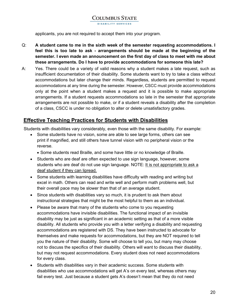applicants, you are not required to accept them into your program.

- Q: **A student came to me in the sixth week of the semester requesting accommodations. I feel this is too late to ask - arrangements should be made at the beginning of the semester. I even made an announcement on the first day of class to meet with me about these arrangements. Do I have to provide accommodations for someone this late?**
- A: Yes. There could be a variety of valid reasons why a student makes a late request, such as insufficient documentation of their disability. Some students want to try to take a class without accommodations but later change their minds. Regardless, students are permitted to request accommodations at any time during the semester. However, CSCC must provide accommodations only at the point when a student makes a request and it is possible to make appropriate arrangements. If a student requests accommodations so late in the semester that appropriate arrangements are not possible to make, or if a student reveals a disability after the completion of a class, CSCC is under no obligation to alter or delete unsatisfactory grades.

## **Effective Teaching Practices for Students with Disabilities**

Students with disabilities vary considerably, even those with the same disability. For example:

- Some students have no vision, some are able to see large forms, others can see print if magnified, and still others have tunnel vision with no peripheral vision or the reverse.
	- Some students read Braille, and some have little or no knowledge of Braille.
- Students who are deaf are often expected to use sign language, however, some students who are deaf do not use sign language. NOTE: It is not appropriate to ask a deaf student if they can lipread.
- Some students with learning disabilities have difficulty with reading and writing but excel in math. Others can read and write well and perform math problems well, but their overall pace may be slower than that of an average student.
- Since students with disabilities vary so much, it is prudent to ask them about instructional strategies that might be the most helpful to them as an individual.
- Please be aware that many of the students who come to you requesting accommodations have invisible disabilities. The functional impact of an invisible disability may be just as significant in an academic setting as that of a more visible disability. All students who provide you with a letter verifying a disability and requesting accommodations are registered with DS. They have been instructed to advocate for themselves and make requests for accommodations, but they are NOT required to tell you the nature of their disability. Some will choose to tell you, but many may choose not to discuss the specifics of their disability. Others will want to discuss their disability, but may not request accommodations. Every student does not need accommodations for every class.
- Students with disabilities vary in their academic success. Some students with disabilities who use accommodations will get A's on every test, whereas others may fail every test. Just because a student gets A's doesn't mean that they do not need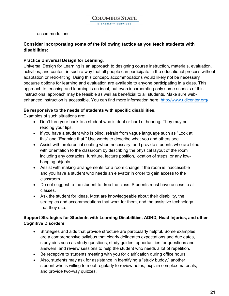accommodations

#### **Consider incorporating some of the following tactics as you teach students with disabilities:**

#### **Practice Universal Design for Learning.**

Universal Design for Learning is an approach to designing course instruction, materials, evaluation, activities, and content in such a way that all people can participate in the educational process without adaptation or retro-fitting. Using this concept, accommodations would likely not be necessary because options for learning and evaluation are available to anyone participating in a class. This approach to teaching and learning is an ideal, but even incorporating only some aspects of this instructional approach may be feasible as well as beneficial to all students. Make sure webenhanced instruction is accessible. You can find more information here: [http://www.udlcenter.org/.](http://www.udlcenter.org/)

#### **Be responsive to the needs of students with specific disabilities.**

Examples of such situations are:

- Don't turn your back to a student who is deaf or hard of hearing. They may be reading your lips.
- If you have a student who is blind, refrain from vague language such as "Look at this" and "Examine that." Use words to describe what you and others see.
- Assist with preferential seating when necessary, and provide students who are blind with orientation to the classroom by describing the physical layout of the room including any obstacles, furniture, lecture position, location of steps, or any lowhanging objects.
- Assist with making arrangements for a room change if the room is inaccessible and you have a student who needs an elevator in order to gain access to the classroom.
- Do not suggest to the student to drop the class. Students must have access to all classes.
- Ask the student for ideas. Most are knowledgeable about their disability, the strategies and accommodations that work for them, and the assistive technology that they use.

#### **Support Strategies for Students with Learning Disabilities, ADHD, Head Injuries, and other Cognitive Disorders**

- Strategies and aids that provide structure are particularly helpful. Some examples are a comprehensive syllabus that clearly delineates expectations and due dates, study aids such as study questions, study guides, opportunities for questions and answers, and review sessions to help the student who needs a lot of repetition.
- Be receptive to students meeting with you for clarification during office hours.
- Also, students may ask for assistance in identifying a "study buddy," another student who is willing to meet regularly to review notes, explain complex materials, and provide two-way quizzes.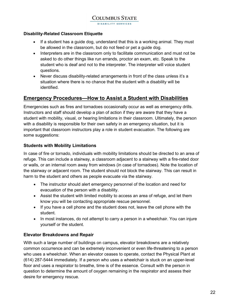**DISABILITY SERVICES** 

#### **Disability-Related Classroom Etiquette**

- If a student has a guide dog, understand that this is a working animal. They must be allowed in the classroom, but do not feed or pet a guide dog.
- Interpreters are in the classroom only to facilitate communication and must not be asked to do other things like run errands, proctor an exam, etc. Speak to the student who is deaf and not to the interpreter. The interpreter will voice student questions.
- Never discuss disability-related arrangements in front of the class unless it's a situation where there is no chance that the student with a disability will be identified.

## **Emergency Procedures—How to Assist a Student with Disabilities**

Emergencies such as fires and tornadoes occasionally occur as well as emergency drills. Instructors and staff should develop a plan of action if they are aware that they have a student with mobility, visual, or hearing limitations in their classroom. Ultimately, the person with a disability is responsible for their own safety in an emergency situation, but it is important that classroom instructors play a role in student evacuation. The following are some suggestions:

#### **Students with Mobility Limitations**

In case of fire or tornado, individuals with mobility limitations should be directed to an area of refuge. This can include a stairway, a classroom adjacent to a stairway with a fire-rated door or walls, or an internal room away from windows (in case of tornadoes). Note the location of the stairway or adjacent room. The student should not block the stairway. This can result in harm to the student and others as people evacuate via the stairway.

- The instructor should alert emergency personnel of the location and need for evacuation of the person with a disability.
- Assist the student with limited mobility to access an area of refuge, and let them know you will be contacting appropriate rescue personnel.
- If you have a cell phone and the student does not, leave the cell phone with the student.
- In most instances, do not attempt to carry a person in a wheelchair. You can injure yourself or the student.

#### **Elevator Breakdowns and Repair**

With such a large number of buildings on campus, elevator breakdowns are a relatively common occurrence and can be extremely inconvenient or even life-threatening to a person who uses a wheelchair. When an elevator ceases to operate, contact the Physical Plant at (614) 287-5444 immediately. If a person who uses a wheelchair is stuck on an upper-level floor and uses a respirator to breathe, time is of the essence. Consult with the person in question to determine the amount of oxygen remaining in the respirator and assess their desire for emergency rescue.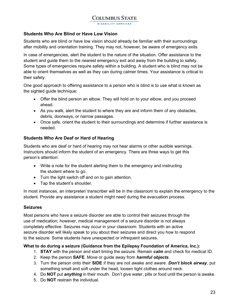#### **Students Who Are Blind or Have Low Vision**

Students who are blind or have low vision should already be familiar with their surroundings after mobility and orientation training. They may not, however, be aware of emergency exits.

In case of emergencies, alert the student to the nature of the situation. Offer assistance to the student and guide them to the nearest emergency exit and away from the building to safety. Some types of emergencies require safety within a building. A student who is blind may not be able to orient themselves as well as they can during calmer times. Your assistance is critical to their safety.

One good approach to offering assistance to a person who is blind is to use what is known as the sighted guide technique:

- Offer the blind person an elbow. They will hold on to your elbow, and you proceed ahead.
- As you walk, alert the student to where they are and inform them of any obstacles, debris, doorways, or narrow passages.
- Once safe, orient the student to their surroundings and determine if further assistance is needed.

#### **Students Who Are Deaf or Hard of Hearing**

Students who are deaf or hard of hearing may not hear alarms or other audible warnings. Instructors should inform the student of an emergency. There are three ways to get this person's attention:

- Write a note for the student alerting them to the emergency and instructing the student where to go.
- Turn the light switch off and on to gain attention.
- Tap the student's shoulder.

In most instances, an interpreter/ transcriber will be in the classroom to explain the emergency to the student. Provide any assistance a student might need during the evacuation process.

#### **Seizures**

Most persons who have a seizure disorder are able to control their seizures through the use of medication; however, medical management of a seizure disorder is not always completely effective. Seizures may occur in your classroom. Students with an active seizure disorder will likely speak to you about their seizures and direct you how to respond to the seizure. Some students have unexpected or infrequent seizures.

#### **What to do during a seizure (Guidance from the Epilepsy Foundation of America, Inc.):**

- 1. **STAY** with the person and start timing the seizure. Remain *calm* and check for medical ID.
- 2. Keep the person **SAFE**. Move or guide away from *harmful objects*.
- 3. Turn the person onto their **SIDE** if they are not awake and aware. *Don't block airway*, put something small and soft under the head, loosen tight clothes around neck.
- 4. Do **NOT** put *anything* in their mouth. Don't give water, pills or food until the person is awake.
- 5. Do **NOT** restrain the individual.